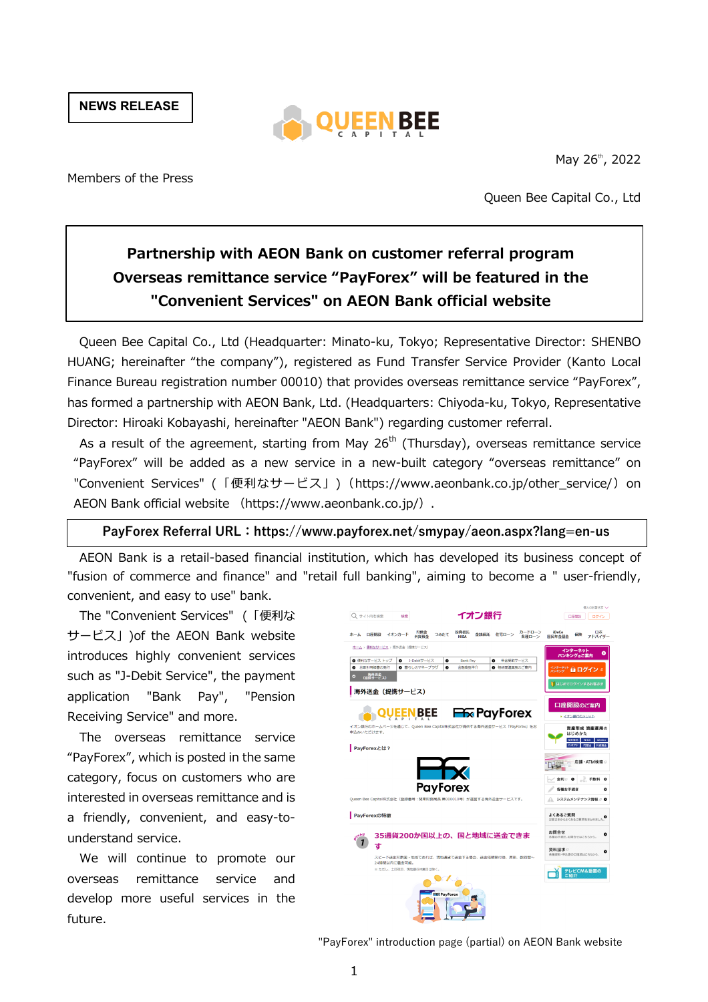**NEWS RELEASE**



May 26<sup>th</sup>, 2022

Members of the Press

Queen Bee Capital Co., Ltd

# **Partnership with AEON Bank on customer referral program Overseas remittance service "PayForex" will be featured in the "Convenient Services" on AEON Bank official website**

Queen Bee Capital Co., Ltd (Headquarter: Minato-ku, Tokyo; Representative Director: SHENBO HUANG; hereinafter "the company"), registered as Fund Transfer Service Provider (Kanto Local Finance Bureau registration number 00010) that provides overseas remittance service "PayForex", has formed a partnership with AEON Bank, Ltd. (Headquarters: Chiyoda-ku, Tokyo, Representative Director: Hiroaki Kobayashi, hereinafter "AEON Bank") regarding customer referral.

As a result of the agreement, starting from May  $26<sup>th</sup>$  (Thursday), overseas remittance service "PayForex" will be added as a new service in a new-built category "overseas remittance" on "Convenient Services" (「便利なサービス」) (https://www.aeonbank.co.jp/other\_service/) on AEON Bank official website (https://www.aeonbank.co.jp/).

# **PayForex Referral URL:https://www.payforex.net/smypay/aeon.aspx?lang=en-us**

AEON Bank is a retail-based financial institution, which has developed its business concept of "fusion of commerce and finance" and "retail full banking", aiming to become a " user-friendly, convenient, and easy to use" bank.

The "Convenient Services" (「便利な サービス」)of the AEON Bank website introduces highly convenient services such as "J-Debit Service", the payment application "Bank Pay", "Pension Receiving Service" and more.

The overseas remittance service "PayForex", which is posted in the same category, focus on customers who are interested in overseas remittance and is a friendly, convenient, and easy-tounderstand service.

We will continue to promote our overseas remittance service and develop more useful services in the future.



"PayForex" introduction page (partial) on AEON Bank website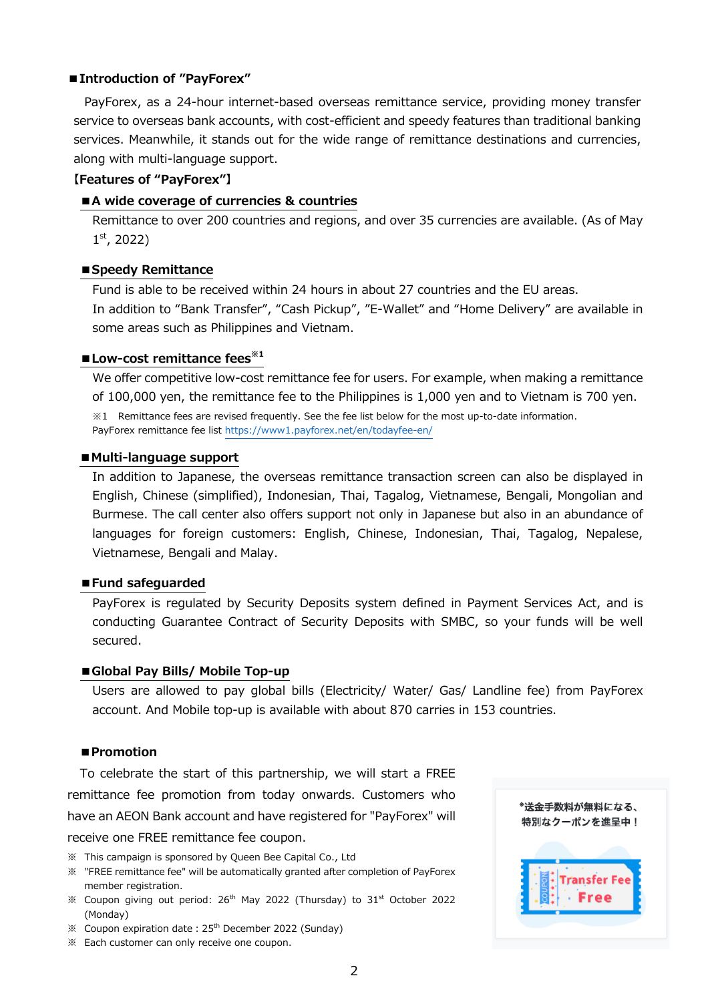# **■Introduction of "PayForex"**

PayForex, as a 24-hour internet-based overseas remittance service, providing money transfer service to overseas bank accounts, with cost-efficient and speedy features than traditional banking services. Meanwhile, it stands out for the wide range of remittance destinations and currencies, along with multi-language support.

## **【Features of "PayForex"】**

#### **■A wide coverage of currencies & countries**

Remittance to over 200 countries and regions, and over 35 currencies are available. (As of May  $1<sup>st</sup>$ , 2022)

### **■Speedy Remittance**

Fund is able to be received within 24 hours in about 27 countries and the EU areas. In addition to "Bank Transfer", "Cash Pickup", "E-Wallet" and "Home Delivery" are available in some areas such as Philippines and Vietnam.

# **■Low-cost remittance fees※1**

We offer competitive low-cost remittance fee for users. For example, when making a remittance of 100,000 yen, the remittance fee to the Philippines is 1,000 yen and to Vietnam is 700 yen. ※1 Remittance fees are revised frequently. See the fee list below for the most up-to-date information. PayForex remittance fee list https://www1.payforex.net/en/todayfee-en/

#### **■Multi-language support**

In addition to Japanese, the overseas remittance transaction screen can also be displayed in English, Chinese (simplified), Indonesian, Thai, Tagalog, Vietnamese, Bengali, Mongolian and Burmese. The call center also offers support not only in Japanese but also in an abundance of languages for foreign customers: English, Chinese, Indonesian, Thai, Tagalog, Nepalese, Vietnamese, Bengali and Malay.

#### **■Fund safeguarded**

PayForex is regulated by Security Deposits system defined in Payment Services Act, and is conducting Guarantee Contract of Security Deposits with SMBC, so your funds will be well secured.

#### **■Global Pay Bills/ Mobile Top-up**

Users are allowed to pay global bills (Electricity/ Water/ Gas/ Landline fee) from PayForex account. And Mobile top-up is available with about 870 carries in 153 countries.

## **■Promotion**

To celebrate the start of this partnership, we will start a FREE remittance fee promotion from today onwards. Customers who have an AEON Bank account and have registered for "PayForex" will receive one FREE remittance fee coupon.

- ※ This campaign is sponsored by Queen Bee Capital Co., Ltd
- ※ "FREE remittance fee" will be automatically granted after completion of PayForex member registration.
- $\%$  Coupon giving out period: 26<sup>th</sup> May 2022 (Thursday) to 31<sup>st</sup> October 2022 (Monday)
- $\%$  Coupon expiration date : 25<sup>th</sup> December 2022 (Sunday)
- ※ Each customer can only receive one coupon.